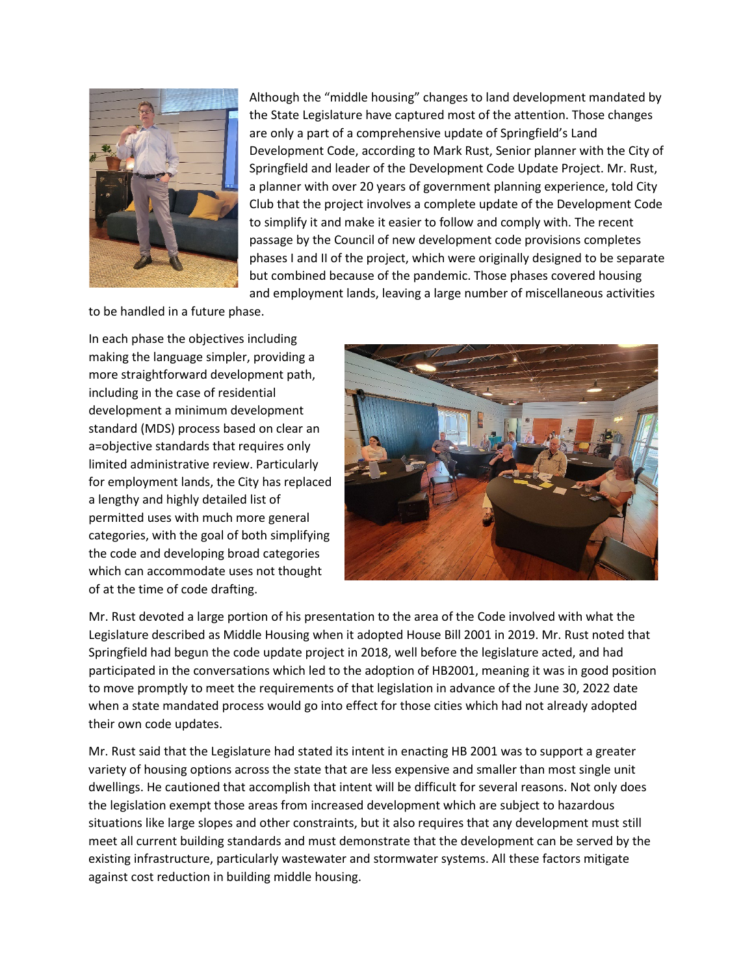

Although the "middle housing" changes to land development mandated by the State Legislature have captured most of the attention. Those changes are only a part of a comprehensive update of Springfield's Land Development Code, according to Mark Rust, Senior planner with the City of Springfield and leader of the Development Code Update Project. Mr. Rust, a planner with over 20 years of government planning experience, told City Club that the project involves a complete update of the Development Code to simplify it and make it easier to follow and comply with. The recent passage by the Council of new development code provisions completes phases I and II of the project, which were originally designed to be separate but combined because of the pandemic. Those phases covered housing and employment lands, leaving a large number of miscellaneous activities

to be handled in a future phase.

In each phase the objectives including making the language simpler, providing a more straightforward development path, including in the case of residential development a minimum development standard (MDS) process based on clear an a=objective standards that requires only limited administrative review. Particularly for employment lands, the City has replaced a lengthy and highly detailed list of permitted uses with much more general categories, with the goal of both simplifying the code and developing broad categories which can accommodate uses not thought of at the time of code drafting.



Mr. Rust devoted a large portion of his presentation to the area of the Code involved with what the Legislature described as Middle Housing when it adopted House Bill 2001 in 2019. Mr. Rust noted that Springfield had begun the code update project in 2018, well before the legislature acted, and had participated in the conversations which led to the adoption of HB2001, meaning it was in good position to move promptly to meet the requirements of that legislation in advance of the June 30, 2022 date when a state mandated process would go into effect for those cities which had not already adopted their own code updates.

Mr. Rust said that the Legislature had stated its intent in enacting HB 2001 was to support a greater variety of housing options across the state that are less expensive and smaller than most single unit dwellings. He cautioned that accomplish that intent will be difficult for several reasons. Not only does the legislation exempt those areas from increased development which are subject to hazardous situations like large slopes and other constraints, but it also requires that any development must still meet all current building standards and must demonstrate that the development can be served by the existing infrastructure, particularly wastewater and stormwater systems. All these factors mitigate against cost reduction in building middle housing.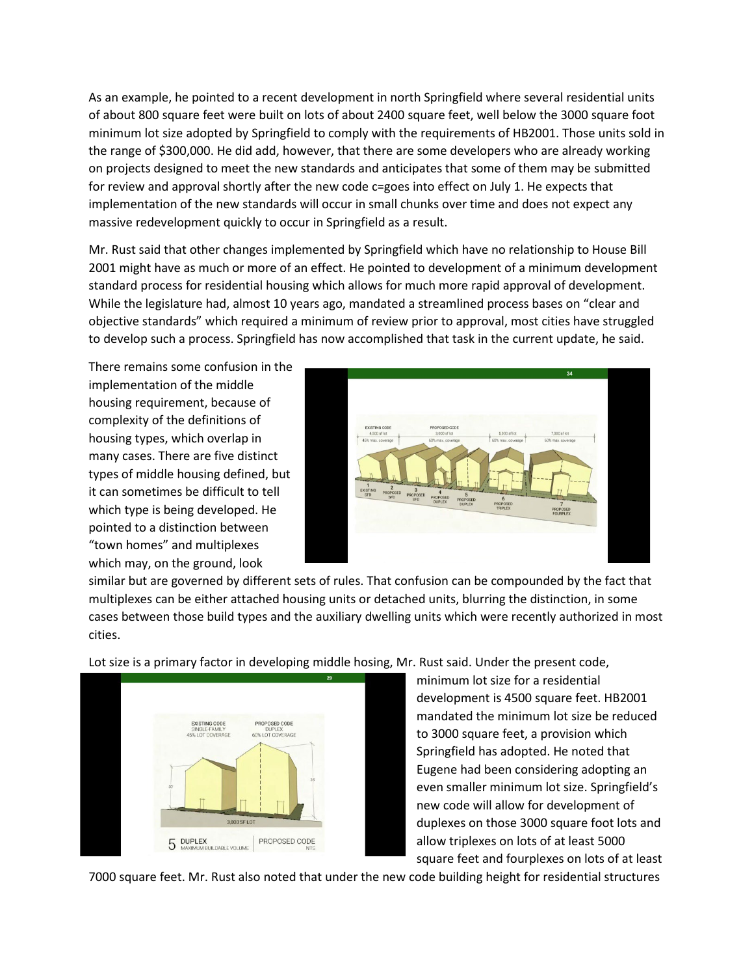As an example, he pointed to a recent development in north Springfield where several residential units of about 800 square feet were built on lots of about 2400 square feet, well below the 3000 square foot minimum lot size adopted by Springfield to comply with the requirements of HB2001. Those units sold in the range of \$300,000. He did add, however, that there are some developers who are already working on projects designed to meet the new standards and anticipates that some of them may be submitted for review and approval shortly after the new code c=goes into effect on July 1. He expects that implementation of the new standards will occur in small chunks over time and does not expect any massive redevelopment quickly to occur in Springfield as a result.

Mr. Rust said that other changes implemented by Springfield which have no relationship to House Bill 2001 might have as much or more of an effect. He pointed to development of a minimum development standard process for residential housing which allows for much more rapid approval of development. While the legislature had, almost 10 years ago, mandated a streamlined process bases on "clear and objective standards" which required a minimum of review prior to approval, most cities have struggled to develop such a process. Springfield has now accomplished that task in the current update, he said.

There remains some confusion in the implementation of the middle housing requirement, because of complexity of the definitions of housing types, which overlap in many cases. There are five distinct types of middle housing defined, but it can sometimes be difficult to tell which type is being developed. He pointed to a distinction between "town homes" and multiplexes which may, on the ground, look



similar but are governed by different sets of rules. That confusion can be compounded by the fact that multiplexes can be either attached housing units or detached units, blurring the distinction, in some cases between those build types and the auxiliary dwelling units which were recently authorized in most cities.



Lot size is a primary factor in developing middle hosing, Mr. Rust said. Under the present code,

minimum lot size for a residential development is 4500 square feet. HB2001 mandated the minimum lot size be reduced to 3000 square feet, a provision which Springfield has adopted. He noted that Eugene had been considering adopting an even smaller minimum lot size. Springfield's new code will allow for development of duplexes on those 3000 square foot lots and allow triplexes on lots of at least 5000 square feet and fourplexes on lots of at least

7000 square feet. Mr. Rust also noted that under the new code building height for residential structures